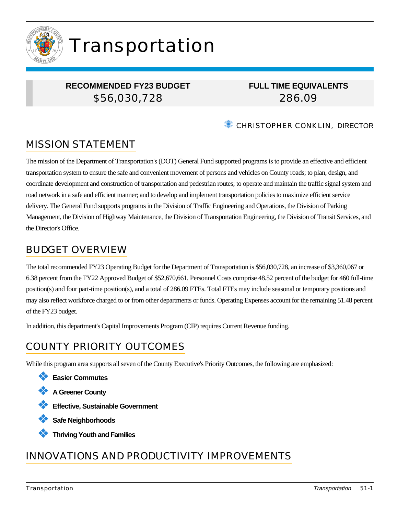

# Transportation

## **RECOMMENDED FY23 BUDGET** \$56,030,728

## **FULL TIME EQUIVALENTS** 286.09

**EXAMPLER CONKLIN, DIRECTOR** 

# MISSION STATEMENT

The mission of the Department of Transportation's (DOT) General Fund supported programs is to provide an effective and efficient transportation system to ensure the safe and convenient movement of persons and vehicles on County roads; to plan, design, and coordinate development and construction of transportation and pedestrian routes; to operate and maintain the traffic signal system and road network in a safe and efficient manner; and to develop and implement transportation policies to maximize efficient service delivery. The General Fund supports programs in the Division of Traffic Engineering and Operations, the Division of Parking Management, the Division of Highway Maintenance, the Division of Transportation Engineering, the Division of Transit Services, and the Director's Office.

## BUDGET OVERVIEW

The total recommended FY23 Operating Budget for the Department of Transportation is \$56,030,728, an increase of \$3,360,067 or 6.38 percent from the FY22 Approved Budget of \$52,670,661. Personnel Costs comprise 48.52 percent of the budget for 460 full-time position(s) and four part-time position(s), and a total of 286.09 FTEs. Total FTEs may include seasonal or temporary positions and may also reflect workforce charged to or from other departments or funds. Operating Expenses account for the remaining 51.48 percent of the FY23 budget.

In addition, this department's Capital Improvements Program (CIP) requires Current Revenue funding.

# COUNTY PRIORITY OUTCOMES

While this program area supports all seven of the County Executive's Priority Outcomes, the following are emphasized:

- ❖ **Easier Commutes**
- ❖ **A Greener County**
- ❖ **Effective, Sustainable Government**
- ❖ **Safe Neighborhoods**
- ❖ **Thriving Youth and Families**

## INNOVATIONS AND PRODUCTIVITY IMPROVEMENTS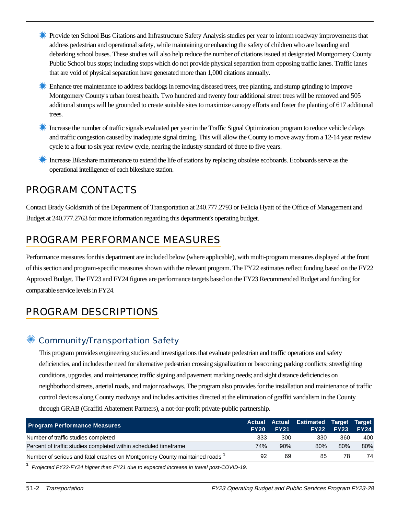- **Exercise ten School Bus Citations and Infrastructure Safety Analysis studies per year to inform roadway improvements that** address pedestrian and operational safety, while maintaining or enhancing the safety of children who are boarding and debarking school buses. These studies will also help reduce the number of citations issued at designated Montgomery County Public School bus stops; including stops which do not provide physical separation from opposing traffic lanes. Traffic lanes that are void of physical separation have generated more than 1,000 citations annually.
- ✹ Enhance tree maintenance to address backlogs in removing diseased trees, tree planting, and stump grinding to improve Montgomery County's urban forest health. Two hundred and twenty four additional street trees will be removed and 505 additional stumps will be grounded to create suitable sites to maximize canopy efforts and foster the planting of 617 additional trees.
- ✹ Increase the number of traffic signals evaluated per year in the Traffic Signal Optimization program to reduce vehicle delays and traffic congestion caused by inadequate signal timing. This will allow the County to move away from a 12-14 year review cycle to a four to six year review cycle, nearing the industry standard of three to five years.
- ✹ Increase Bikeshare maintenance to extend the life of stations by replacing obsolete ecoboards. Ecoboards serve as the operational intelligence of each bikeshare station.

## PROGRAM CONTACTS

Contact Brady Goldsmith of the Department of Transportation at 240.777.2793 or Felicia Hyatt of the Office of Management and Budget at 240.777.2763 for more information regarding this department's operating budget.

# PROGRAM PERFORMANCE MEASURES

Performance measures for this department are included below (where applicable), with multi-program measures displayed at the front of this section and program-specific measures shown with the relevant program. The FY22 estimates reflect funding based on the FY22 Approved Budget. The FY23 and FY24 figures are performance targets based on the FY23 Recommended Budget and funding for comparable service levels in FY24.

## PROGRAM DESCRIPTIONS

## Community/Transportation Safety

This program provides engineering studies and investigations that evaluate pedestrian and traffic operations and safety deficiencies, and includes the need for alternative pedestrian crossing signalization or beaconing; parking conflicts; streetlighting conditions, upgrades, and maintenance; traffic signing and pavement marking needs; and sight distance deficiencies on neighborhood streets, arterial roads, and major roadways. The program also provides for the installation and maintenance of traffic control devices along County roadways and includes activities directed at the elimination of graffiti vandalism in the County through GRAB (Graffiti Abatement Partners), a not-for-profit private-public partnership.

| <b>Program Performance Measures</b>                                       | <b>FY20</b> | <b>FY21</b> | Actual Actual Estimated Target Target | <b>FY22 FY23</b> | <b>FY24</b> |
|---------------------------------------------------------------------------|-------------|-------------|---------------------------------------|------------------|-------------|
| Number of traffic studies completed                                       | 333         | 300         | 330                                   | 360              | 400         |
| Percent of traffic studies completed within scheduled timeframe           | 74%         | 90%         | 80%                                   | 80%              | 80%         |
| Number of serious and fatal crashes on Montgomery County maintained roads | 92          | 69          | 85                                    | 78               | 74          |

**1** Projected FY22-FY24 higher than FY21 due to expected increase in travel post-COVID-19.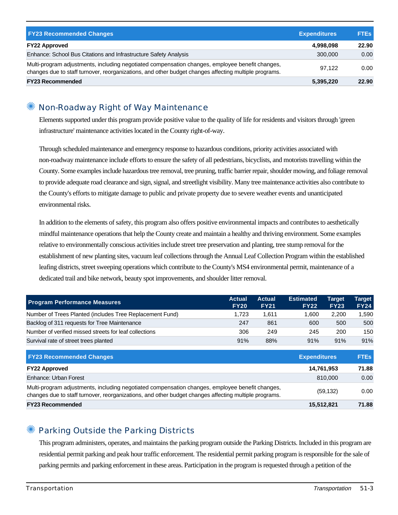| <b>FY23 Recommended Changes</b>                                                                                                                                                                          | <b>Expenditures</b> | <b>FTEs</b> |
|----------------------------------------------------------------------------------------------------------------------------------------------------------------------------------------------------------|---------------------|-------------|
| <b>FY22 Approved</b>                                                                                                                                                                                     | 4,998,098           | 22.90       |
| Enhance: School Bus Citations and Infrastructure Safety Analysis                                                                                                                                         | 300,000             | 0.00        |
| Multi-program adjustments, including negotiated compensation changes, employee benefit changes,<br>changes due to staff turnover, reorganizations, and other budget changes affecting multiple programs. | 97.122              | 0.00        |
| <b>FY23 Recommended</b>                                                                                                                                                                                  | 5,395,220           | 22.90       |

#### ✺ Non-Roadway Right of Way Maintenance

Elements supported under this program provide positive value to the quality of life for residents and visitors through 'green infrastructure' maintenance activities located in the County right-of-way.

Through scheduled maintenance and emergency response to hazardous conditions, priority activities associated with non-roadway maintenance include efforts to ensure the safety of all pedestrians, bicyclists, and motorists travelling within the County. Some examples include hazardous tree removal, tree pruning, traffic barrier repair, shoulder mowing, and foliage removal to provide adequate road clearance and sign, signal, and streetlight visibility. Many tree maintenance activities also contribute to the County's efforts to mitigate damage to public and private property due to severe weather events and unanticipated environmental risks.

In addition to the elements of safety, this program also offers positive environmental impacts and contributes to aesthetically mindful maintenance operations that help the County create and maintain a healthy and thriving environment. Some examples relative to environmentally conscious activities include street tree preservation and planting, tree stump removal for the establishment of new planting sites, vacuum leaf collections through the Annual Leaf Collection Program within the established leafing districts, street sweeping operations which contribute to the County's MS4 environmental permit, maintenance of a dedicated trail and bike network, beauty spot improvements, and shoulder litter removal.

| <b>Program Performance Measures</b>                      | <b>Actual</b><br><b>FY20</b> | <b>Actual</b><br><b>FY21</b> | <b>Estimated</b><br><b>FY22</b> | <b>Target</b><br><b>FY23</b> | Tarqet<br><b>FY24</b> |
|----------------------------------------------------------|------------------------------|------------------------------|---------------------------------|------------------------------|-----------------------|
| Number of Trees Planted (includes Tree Replacement Fund) | 1.723                        | 1.611                        | 1.600                           | 2.200                        | 590.ا                 |
| Backlog of 311 requests for Tree Maintenance             | 247                          | 861                          | 600                             | 500                          | 500                   |
| Number of verified missed streets for leaf collections   | 306                          | 249                          | 245                             | 200                          | 150                   |
| Survival rate of street trees planted                    | 91%                          | 88%                          | 91%                             | 91%                          | 91%                   |

| <b>FY23 Recommended Changes</b>                                                                                                                                                                          | <b>Expenditures</b> | <b>FTEs</b> |
|----------------------------------------------------------------------------------------------------------------------------------------------------------------------------------------------------------|---------------------|-------------|
| <b>FY22 Approved</b>                                                                                                                                                                                     | 14,761,953          | 71.88       |
| Enhance: Urban Forest                                                                                                                                                                                    | 810,000             | 0.00        |
| Multi-program adjustments, including negotiated compensation changes, employee benefit changes,<br>changes due to staff turnover, reorganizations, and other budget changes affecting multiple programs. | (59, 132)           | 0.00        |
| <b>FY23 Recommended</b>                                                                                                                                                                                  | 15,512,821          | 71.88       |

## Parking Outside the Parking Districts

This program administers, operates, and maintains the parking program outside the Parking Districts. Included in this program are residential permit parking and peak hour traffic enforcement. The residential permit parking program is responsible for the sale of parking permits and parking enforcement in these areas. Participation in the program is requested through a petition of the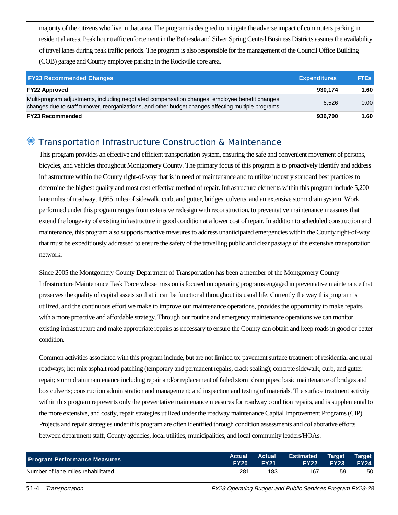majority of the citizens who live in that area. The program is designed to mitigate the adverse impact of commuters parking in residential areas. Peak hour traffic enforcement in the Bethesda and Silver Spring Central Business Districts assures the availability of travel lanes during peak traffic periods. The program is also responsible for the management of the Council Office Building (COB) garage and County employee parking in the Rockville core area.

| <b>FY23 Recommended Changes</b>                                                                                                                                                                          | <b>Expenditures</b> | <b>FTEs</b> |
|----------------------------------------------------------------------------------------------------------------------------------------------------------------------------------------------------------|---------------------|-------------|
| <b>FY22 Approved</b>                                                                                                                                                                                     | 930.174             | 1.60        |
| Multi-program adjustments, including negotiated compensation changes, employee benefit changes,<br>changes due to staff turnover, reorganizations, and other budget changes affecting multiple programs. | 6.526               | 0.00        |
| <b>FY23 Recommended</b>                                                                                                                                                                                  | 936,700             | 1.60        |

#### Transportation Infrastructure Construction & Maintenance

This program provides an effective and efficient transportation system, ensuring the safe and convenient movement of persons, bicycles, and vehicles throughout Montgomery County. The primary focus of this program is to proactively identify and address infrastructure within the County right-of-way that is in need of maintenance and to utilize industry standard best practices to determine the highest quality and most cost-effective method of repair. Infrastructure elements within this program include 5,200 lane miles of roadway, 1,665 miles of sidewalk, curb, and gutter, bridges, culverts, and an extensive storm drain system. Work performed under this program ranges from extensive redesign with reconstruction, to preventative maintenance measures that extend the longevity of existing infrastructure in good condition at a lower cost of repair. In addition to scheduled construction and maintenance, this program also supports reactive measures to address unanticipated emergencies within the County right-of-way that must be expeditiously addressed to ensure the safety of the travelling public and clear passage of the extensive transportation network.

Since 2005 the Montgomery County Department of Transportation has been a member of the Montgomery County Infrastructure Maintenance Task Force whose mission is focused on operating programs engaged in preventative maintenance that preserves the quality of capital assets so that it can be functional throughout its usual life. Currently the way this program is utilized, and the continuous effort we make to improve our maintenance operations, provides the opportunity to make repairs with a more proactive and affordable strategy. Through our routine and emergency maintenance operations we can monitor existing infrastructure and make appropriate repairs as necessary to ensure the County can obtain and keep roads in good or better condition.

Common activities associated with this program include, but are not limited to: pavement surface treatment of residential and rural roadways; hot mix asphalt road patching (temporary and permanent repairs, crack sealing); concrete sidewalk, curb, and gutter repair; storm drain maintenance including repair and/or replacement of failed storm drain pipes; basic maintenance of bridges and box culverts; construction administration and management; and inspection and testing of materials. The surface treatment activity within this program represents only the preventative maintenance measures for roadway condition repairs, and is supplemental to the more extensive, and costly, repair strategies utilized under the roadway maintenance Capital Improvement Programs (CIP). Projects and repair strategies under this program are often identified through condition assessments and collaborative efforts between department staff, County agencies, local utilities, municipalities, and local community leaders/HOAs.

| <b>Program Performance Measures</b> | FY20 | <b>Actual Actual</b><br><b>EY21</b> | <b>Estimated</b><br><b>FY22</b> | Target<br><b>FY23</b> | <b>Target</b><br><b>FY24</b> |
|-------------------------------------|------|-------------------------------------|---------------------------------|-----------------------|------------------------------|
| Number of lane miles rehabilitated  | 281  | 183                                 | 167                             | 159                   | 150                          |

51-4 Transportation FY23 Operating Budget and Public Services Program FY23-28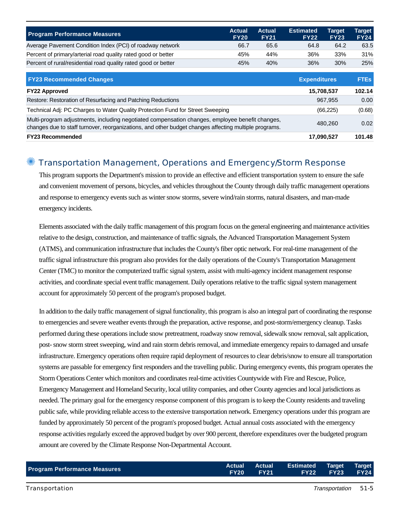| <b>Program Performance Measures</b>                                                                                                                                                                      | <b>Actual</b><br><b>FY20</b> | <b>Actual</b><br><b>FY21</b> | <b>Estimated</b><br><b>FY22</b> | <b>Target</b><br><b>FY23</b> | Target<br><b>FY24</b> |
|----------------------------------------------------------------------------------------------------------------------------------------------------------------------------------------------------------|------------------------------|------------------------------|---------------------------------|------------------------------|-----------------------|
| Average Pavement Condition Index (PCI) of roadway network                                                                                                                                                | 66.7                         | 65.6                         | 64.8                            | 64.2                         | 63.5                  |
| Percent of primary/arterial road quality rated good or better                                                                                                                                            | 45%                          | 44%                          | 36%                             | 33%                          | 31%                   |
| Percent of rural/residential road quality rated good or better                                                                                                                                           | 45%                          | 40%                          | 36%                             | 30%                          | 25%                   |
| <b>FY23 Recommended Changes</b>                                                                                                                                                                          |                              |                              | <b>Expenditures</b>             |                              | <b>FTEs</b>           |
| <b>FY22 Approved</b>                                                                                                                                                                                     |                              |                              | 15,708,537                      |                              | 102.14                |
| Restore: Restoration of Resurfacing and Patching Reductions                                                                                                                                              |                              |                              |                                 | 967.955                      | 0.00                  |
| Technical Adj: PC Charges to Water Quality Protection Fund for Street Sweeping                                                                                                                           |                              |                              |                                 | (66, 225)                    | (0.68)                |
| Multi-program adjustments, including negotiated compensation changes, employee benefit changes,<br>changes due to staff turnover, reorganizations, and other budget changes affecting multiple programs. |                              |                              |                                 | 480.260                      | 0.02                  |
| <b>FY23 Recommended</b>                                                                                                                                                                                  |                              |                              | 17,090,527                      |                              | 101.48                |

#### ✺ Transportation Management, Operations and Emergency/Storm Response

This program supports the Department's mission to provide an effective and efficient transportation system to ensure the safe and convenient movement of persons, bicycles, and vehicles throughout the County through daily traffic management operations and response to emergency events such as winter snow storms, severe wind/rain storms, natural disasters, and man-made emergency incidents.

Elements associated with the daily traffic management of this program focus on the general engineering and maintenance activities relative to the design, construction, and maintenance of traffic signals, the Advanced Transportation Management System (ATMS), and communication infrastructure that includes the County's fiber optic network. For real-time management of the traffic signal infrastructure this program also provides for the daily operations of the County's Transportation Management Center (TMC) to monitor the computerized traffic signal system, assist with multi-agency incident management response activities, and coordinate special event traffic management. Daily operations relative to the traffic signal system management account for approximately 50 percent of the program's proposed budget.

In addition to the daily traffic management of signal functionality, this program is also an integral part of coordinating the response to emergencies and severe weather events through the preparation, active response, and post-storm/emergency cleanup. Tasks performed during these operations include snow pretreatment, roadway snow removal, sidewalk snow removal, salt application, post- snow storm street sweeping, wind and rain storm debris removal, and immediate emergency repairs to damaged and unsafe infrastructure. Emergency operations often require rapid deployment of resources to clear debris/snow to ensure all transportation systems are passable for emergency first responders and the travelling public. During emergency events, this program operates the Storm Operations Center which monitors and coordinates real-time activities Countywide with Fire and Rescue, Police, Emergency Management and Homeland Security, local utility companies, and other County agencies and local jurisdictions as needed. The primary goal for the emergency response component of this program is to keep the County residents and traveling public safe, while providing reliable access to the extensive transportation network. Emergency operations under this program are funded by approximately 50 percent of the program's proposed budget. Actual annual costs associated with the emergency response activities regularly exceed the approved budget by over 900 percent, therefore expenditures over the budgeted program amount are covered by the Climate Response Non-Departmental Account.

| <b>Program Performance Measures</b> |                  | Actual Actual Estimated Target Target |                       |  |
|-------------------------------------|------------------|---------------------------------------|-----------------------|--|
|                                     | <b>FY20 FY21</b> |                                       | <b>FY22 FY23 FY24</b> |  |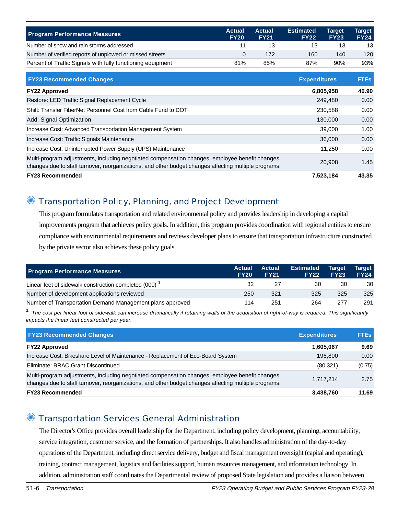| <b>Program Performance Measures</b>                         | Actual<br><b>FY20</b> | <b>Actual</b><br><b>FY21</b> | <b>Estimated</b><br><b>FY22</b> | Target<br><b>FY23</b> | Tarqet<br><b>FY24</b> |
|-------------------------------------------------------------|-----------------------|------------------------------|---------------------------------|-----------------------|-----------------------|
| Number of snow and rain storms addressed                    |                       |                              | 13                              | 13                    | 13                    |
| Number of verified reports of unplowed or missed streets    |                       | 172                          | 160                             | 140                   | 120                   |
| Percent of Traffic Signals with fully functioning equipment | 81%                   | 85%                          | 87%                             | 90%                   | 93%                   |

| <b>FY23 Recommended Changes</b>                                                                                                                                                                          | <b>Expenditures</b> | <b>FTEs</b> |
|----------------------------------------------------------------------------------------------------------------------------------------------------------------------------------------------------------|---------------------|-------------|
| <b>FY22 Approved</b>                                                                                                                                                                                     | 6,805,958           | 40.90       |
| Restore: LED Traffic Signal Replacement Cycle                                                                                                                                                            | 249,480             | 0.00        |
| Shift: Transfer FiberNet Personnel Cost from Cable Fund to DOT                                                                                                                                           | 230,588             | 0.00        |
| Add: Signal Optimization                                                                                                                                                                                 | 130,000             | 0.00        |
| Increase Cost: Advanced Transportation Management System                                                                                                                                                 | 39,000              | 1.00        |
| Increase Cost: Traffic Signals Maintenance                                                                                                                                                               | 36,000              | 0.00        |
| Increase Cost: Uninterrupted Power Supply (UPS) Maintenance                                                                                                                                              | 11.250              | 0.00        |
| Multi-program adjustments, including negotiated compensation changes, employee benefit changes,<br>changes due to staff turnover, reorganizations, and other budget changes affecting multiple programs. | 20,908              | 1.45        |
| <b>FY23 Recommended</b>                                                                                                                                                                                  | 7,523,184           | 43.35       |

## ✺ Transportation Policy, Planning, and Project Development

This program formulates transportation and related environmental policy and provides leadership in developing a capital improvements program that achieves policy goals. In addition, this program provides coordination with regional entities to ensure compliance with environmental requirements and reviews developer plans to ensure that transportation infrastructure constructed by the private sector also achieves these policy goals.

| <b>Program Performance Measures</b>                       | <b>Actual</b><br><b>FY20</b> | Actual<br><b>FY21</b> | <b>Estimated</b><br><b>FY22</b> | <b>Target</b><br><b>FY23</b> | <b>Target</b><br><b>FY24</b> |
|-----------------------------------------------------------|------------------------------|-----------------------|---------------------------------|------------------------------|------------------------------|
| Linear feet of sidewalk construction completed (000)      | 32                           | 27                    | 30                              | 30                           | 30                           |
| Number of development applications reviewed               | 250                          | 321                   | 325                             | 325                          | 325                          |
| Number of Transportation Demand Management plans approved | 114                          | 251                   | 264                             | 277                          | 291                          |

**1** The cost per linear foot of sidewalk can increase dramatically if retaining walls or the acquisition of right-of-way is required. This significantly impacts the linear feet constructed per year.

| <b>FY23 Recommended Changes</b>                                                                                                                                                                          | <b>Expenditures</b> | <b>FTEs</b> |
|----------------------------------------------------------------------------------------------------------------------------------------------------------------------------------------------------------|---------------------|-------------|
| <b>FY22 Approved</b>                                                                                                                                                                                     | 1,605,067           | 9.69        |
| Increase Cost: Bikeshare Level of Maintenance - Replacement of Eco-Board System                                                                                                                          | 196,800             | 0.00        |
| Eliminate: BRAC Grant Discontinued                                                                                                                                                                       | (80, 321)           | (0.75)      |
| Multi-program adjustments, including negotiated compensation changes, employee benefit changes,<br>changes due to staff turnover, reorganizations, and other budget changes affecting multiple programs. | 1.717.214           | 2.75        |
| <b>FY23 Recommended</b>                                                                                                                                                                                  | 3,438,760           | 11.69       |

#### ✺ Transportation Services General Administration

The Director's Office provides overall leadership for the Department, including policy development, planning, accountability, service integration, customer service, and the formation of partnerships. It also handles administration of the day-to-day operations of the Department, including direct service delivery, budget and fiscal management oversight (capital and operating), training, contract management, logistics and facilities support, human resources management, and information technology. In addition, administration staff coordinates the Departmental review of proposed State legislation and provides a liaison between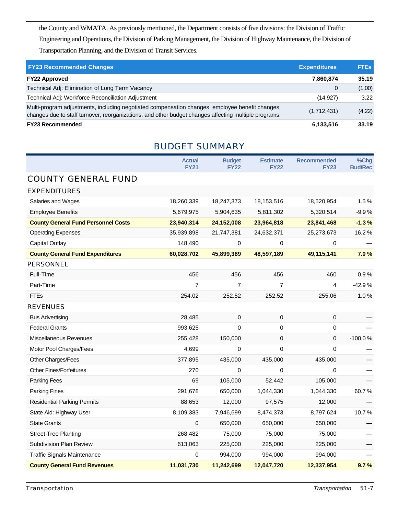the County and WMATA. As previously mentioned, the Department consists of five divisions: the Division of Traffic Engineering and Operations, the Division of Parking Management, the Division of Highway Maintenance, the Division of Transportation Planning, and the Division of Transit Services.

| <b>FY23 Recommended Changes</b>                                                                                                                                                                          | <b>Expenditures</b> | <b>FTEs</b> |
|----------------------------------------------------------------------------------------------------------------------------------------------------------------------------------------------------------|---------------------|-------------|
| <b>FY22 Approved</b>                                                                                                                                                                                     | 7,860,874           | 35.19       |
| Technical Adj: Elimination of Long Term Vacancy                                                                                                                                                          | 0                   | (1.00)      |
| Technical Adj: Workforce Reconciliation Adjustment                                                                                                                                                       | (14, 927)           | 3.22        |
| Multi-program adjustments, including negotiated compensation changes, employee benefit changes,<br>changes due to staff turnover, reorganizations, and other budget changes affecting multiple programs. | (1,712,431)         | (4.22)      |
| <b>FY23 Recommended</b>                                                                                                                                                                                  | 6,133,516           | 33.19       |

## BUDGET SUMMARY

|                                            | <b>Actual</b>  | <b>Budget</b>  | <b>Estimate</b> | <b>Recommended</b> | %Chg           |
|--------------------------------------------|----------------|----------------|-----------------|--------------------|----------------|
|                                            | <b>FY21</b>    | <b>FY22</b>    | <b>FY22</b>     | <b>FY23</b>        | <b>Bud/Rec</b> |
| <b>COUNTY GENERAL FUND</b>                 |                |                |                 |                    |                |
| <b>EXPENDITURES</b>                        |                |                |                 |                    |                |
| Salaries and Wages                         | 18,260,339     | 18,247,373     | 18,153,516      | 18,520,954         | 1.5%           |
| <b>Employee Benefits</b>                   | 5,679,975      | 5,904,635      | 5,811,302       | 5,320,514          | $-9.9%$        |
| <b>County General Fund Personnel Costs</b> | 23,940,314     | 24,152,008     | 23,964,818      | 23,841,468         | $-1.3%$        |
| <b>Operating Expenses</b>                  | 35,939,898     | 21,747,381     | 24,632,371      | 25,273,673         | 16.2%          |
| <b>Capital Outlay</b>                      | 148,490        | 0              | $\Omega$        | 0                  |                |
| <b>County General Fund Expenditures</b>    | 60,028,702     | 45,899,389     | 48,597,189      | 49,115,141         | 7.0%           |
| <b>PERSONNEL</b>                           |                |                |                 |                    |                |
| Full-Time                                  | 456            | 456            | 456             | 460                | 0.9%           |
| Part-Time                                  | $\overline{7}$ | $\overline{7}$ | $\overline{7}$  | 4                  | $-42.9%$       |
| <b>FTEs</b>                                | 254.02         | 252.52         | 252.52          | 255.06             | 1.0%           |
| <b>REVENUES</b>                            |                |                |                 |                    |                |
| <b>Bus Advertising</b>                     | 28,485         | 0              | $\mathbf 0$     | 0                  |                |
| <b>Federal Grants</b>                      | 993,625        | $\Omega$       | $\pmb{0}$       | 0                  |                |
| Miscellaneous Revenues                     | 255,428        | 150,000        | $\pmb{0}$       | 0                  | $-100.0%$      |
| Motor Pool Charges/Fees                    | 4,699          | 0              | $\mathbf 0$     | 0                  |                |
| Other Charges/Fees                         | 377,895        | 435,000        | 435,000         | 435,000            |                |
| <b>Other Fines/Forfeitures</b>             | 270            | 0              | $\Omega$        | 0                  |                |
| Parking Fees                               | 69             | 105,000        | 52,442          | 105,000            |                |
| <b>Parking Fines</b>                       | 291,678        | 650,000        | 1,044,330       | 1,044,330          | 60.7%          |
| <b>Residential Parking Permits</b>         | 88,653         | 12,000         | 97,575          | 12,000             |                |
| State Aid: Highway User                    | 8,109,383      | 7,946,699      | 8,474,373       | 8,797,624          | 10.7%          |
| <b>State Grants</b>                        | 0              | 650,000        | 650,000         | 650,000            |                |
| <b>Street Tree Planting</b>                | 268,482        | 75,000         | 75,000          | 75,000             |                |
| Subdivision Plan Review                    | 613,063        | 225,000        | 225,000         | 225,000            |                |
| <b>Traffic Signals Maintenance</b>         | $\mathbf 0$    | 994,000        | 994,000         | 994,000            |                |
| <b>County General Fund Revenues</b>        | 11,031,730     | 11,242,699     | 12,047,720      | 12,337,954         | 9.7%           |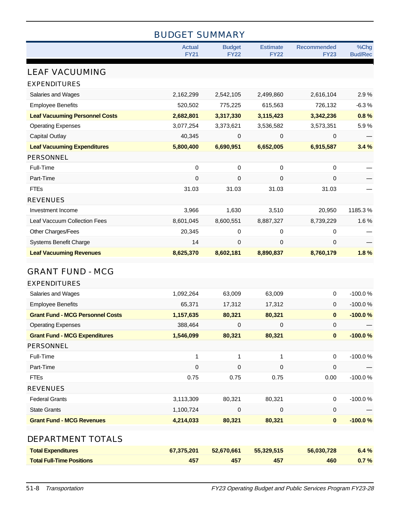|                                                | <b>BUDGET SUMMARY</b> |                  |                  |                    |                |
|------------------------------------------------|-----------------------|------------------|------------------|--------------------|----------------|
|                                                | <b>Actual</b>         | <b>Budget</b>    | <b>Estimate</b>  | <b>Recommended</b> | %Chg           |
|                                                | <b>FY21</b>           | <b>FY22</b>      | <b>FY22</b>      | <b>FY23</b>        | <b>Bud/Rec</b> |
| <b>LEAF VACUUMING</b>                          |                       |                  |                  |                    |                |
| <b>EXPENDITURES</b>                            |                       |                  |                  |                    |                |
| Salaries and Wages                             | 2,162,299             | 2,542,105        | 2,499,860        | 2,616,104          | 2.9%           |
| <b>Employee Benefits</b>                       | 520,502               | 775,225          | 615,563          | 726,132            | $-6.3%$        |
| <b>Leaf Vacuuming Personnel Costs</b>          | 2,682,801             | 3,317,330        | 3,115,423        | 3,342,236          | 0.8%           |
| <b>Operating Expenses</b>                      | 3,077,254             | 3,373,621        | 3,536,582        | 3,573,351          | 5.9%           |
| <b>Capital Outlay</b>                          | 40,345                | 0                | 0                | $\mathbf 0$        |                |
| <b>Leaf Vacuuming Expenditures</b>             | 5,800,400             | 6,690,951        | 6,652,005        | 6,915,587          | 3.4%           |
| <b>PERSONNEL</b>                               |                       |                  |                  |                    |                |
| Full-Time                                      | 0                     | 0                | $\pmb{0}$        | 0                  |                |
| Part-Time                                      | 0                     | 0                | 0                | $\mathbf 0$        |                |
| <b>FTEs</b>                                    | 31.03                 | 31.03            | 31.03            | 31.03              |                |
| <b>REVENUES</b>                                |                       |                  |                  |                    |                |
| Investment Income                              | 3,966                 | 1,630            | 3,510            | 20,950             | 1185.3%        |
| Leaf Vaccuum Collection Fees                   | 8,601,045             | 8,600,551        | 8,887,327        | 8,739,229          | 1.6%           |
| Other Charges/Fees                             | 20,345                | 0                | $\pmb{0}$        | 0                  |                |
| <b>Systems Benefit Charge</b>                  | 14                    | 0                | 0                | 0                  |                |
| <b>Leaf Vacuuming Revenues</b>                 | 8,625,370             | 8,602,181        | 8,890,837        | 8,760,179          | 1.8%           |
|                                                |                       |                  |                  |                    |                |
| <b>GRANT FUND - MCG</b>                        |                       |                  |                  |                    |                |
| <b>EXPENDITURES</b>                            |                       | 63,009           |                  | $\pmb{0}$          | $-100.0%$      |
| Salaries and Wages<br><b>Employee Benefits</b> | 1,092,264<br>65,371   |                  | 63,009           | $\mathbf 0$        | $-100.0%$      |
| <b>Grant Fund - MCG Personnel Costs</b>        | 1,157,635             | 17,312<br>80,321 | 17,312<br>80,321 | $\mathbf 0$        | $-100.0%$      |
| <b>Operating Expenses</b>                      | 388,464               | $\mathbf 0$      | 0                | $\pmb{0}$          |                |
| <b>Grant Fund - MCG Expenditures</b>           | 1,546,099             | 80,321           | 80,321           | $\pmb{0}$          | $-100.0%$      |
| PERSONNEL                                      |                       |                  |                  |                    |                |
| Full-Time                                      | $\mathbf 1$           | 1                | 1                | $\pmb{0}$          | $-100.0%$      |
| Part-Time                                      | 0                     | 0                | 0                | $\mathbf 0$        |                |
| <b>FTEs</b>                                    | 0.75                  | 0.75             | 0.75             | 0.00               | $-100.0%$      |
| <b>REVENUES</b>                                |                       |                  |                  |                    |                |
| <b>Federal Grants</b>                          | 3,113,309             | 80,321           | 80,321           | $\pmb{0}$          | $-100.0%$      |
| <b>State Grants</b>                            | 1,100,724             | 0                | 0                | $\pmb{0}$          |                |
| <b>Grant Fund - MCG Revenues</b>               | 4,214,033             | 80,321           | 80,321           | $\pmb{0}$          | $-100.0%$      |
|                                                |                       |                  |                  |                    |                |
| DEPARTMENT TOTALS                              |                       |                  |                  |                    |                |
| <b>Total Expenditures</b>                      | 67,375,201            | 52,670,661       | 55,329,515       | 56,030,728         | 6.4 %          |
| <b>Total Full-Time Positions</b>               | 457                   | 457              | 457              | 460                | 0.7%           |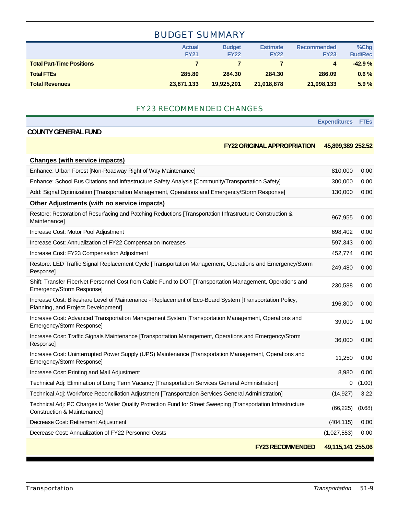## BUDGET SUMMARY

|                                  | <b>Actual</b><br><b>FY21</b> | <b>Budget</b><br><b>FY22</b> | <b>Estimate</b><br><b>FY22</b> | <b>Recommended</b><br><b>FY23</b> | $%$ Chg<br><b>Bud/Rec</b> |
|----------------------------------|------------------------------|------------------------------|--------------------------------|-----------------------------------|---------------------------|
| <b>Total Part-Time Positions</b> |                              |                              |                                | 4                                 | $-42.9%$                  |
| <b>Total FTEs</b>                | 285.80                       | 284.30                       | 284.30                         | 286.09                            | $0.6\%$                   |
| <b>Total Revenues</b>            | 23,871,133                   | 19.925.201                   | 21,018,878                     | 21,098,133                        | 5.9%                      |

#### FY23 RECOMMENDED CHANGES

**Expenditures FTEs**

#### **COUNTY GENERAL FUND**

| <b>FY22 ORIGINAL APPROPRIATION</b> | 45,899,389 252.52 |
|------------------------------------|-------------------|
|------------------------------------|-------------------|

| <b>Changes (with service impacts)</b>                                                                                                         |                   |        |
|-----------------------------------------------------------------------------------------------------------------------------------------------|-------------------|--------|
| Enhance: Urban Forest [Non-Roadway Right of Way Maintenance]                                                                                  | 810,000           | 0.00   |
| Enhance: School Bus Citations and Infrastructure Safety Analysis [Community/Transportation Safety]                                            | 300,000           | 0.00   |
| Add: Signal Optimization [Transportation Management, Operations and Emergency/Storm Response]                                                 | 130,000           | 0.00   |
| <b>Other Adjustments (with no service impacts)</b>                                                                                            |                   |        |
| Restore: Restoration of Resurfacing and Patching Reductions [Transportation Infrastructure Construction &<br>Maintenance]                     | 967,955           | 0.00   |
| Increase Cost: Motor Pool Adjustment                                                                                                          | 698,402           | 0.00   |
| Increase Cost: Annualization of FY22 Compensation Increases                                                                                   | 597,343           | 0.00   |
| Increase Cost: FY23 Compensation Adjustment                                                                                                   | 452,774           | 0.00   |
| Restore: LED Traffic Signal Replacement Cycle [Transportation Management, Operations and Emergency/Storm<br>Response]                         | 249,480           | 0.00   |
| Shift: Transfer FiberNet Personnel Cost from Cable Fund to DOT [Transportation Management, Operations and<br>Emergency/Storm Response]        | 230,588           | 0.00   |
| Increase Cost: Bikeshare Level of Maintenance - Replacement of Eco-Board System [Transportation Policy,<br>Planning, and Project Development] | 196,800           | 0.00   |
| Increase Cost: Advanced Transportation Management System [Transportation Management, Operations and<br>Emergency/Storm Response]              | 39,000            | 1.00   |
| Increase Cost: Traffic Signals Maintenance [Transportation Management, Operations and Emergency/Storm<br>Response]                            | 36,000            | 0.00   |
| Increase Cost: Uninterrupted Power Supply (UPS) Maintenance [Transportation Management, Operations and<br>Emergency/Storm Response]           | 11,250            | 0.00   |
| Increase Cost: Printing and Mail Adjustment                                                                                                   | 8,980             | 0.00   |
| Technical Adj: Elimination of Long Term Vacancy [Transportation Services General Administration]                                              | 0                 | (1.00) |
| Technical Adj: Workforce Reconciliation Adjustment [Transportation Services General Administration]                                           | (14, 927)         | 3.22   |
| Technical Adj: PC Charges to Water Quality Protection Fund for Street Sweeping [Transportation Infrastructure<br>Construction & Maintenance]  | (66, 225)         | (0.68) |
| Decrease Cost: Retirement Adjustment                                                                                                          | (404, 115)        | 0.00   |
| Decrease Cost: Annualization of FY22 Personnel Costs                                                                                          | (1,027,553)       | 0.00   |
| <b>FY23 RECOMMENDED</b>                                                                                                                       | 49,115,141 255.06 |        |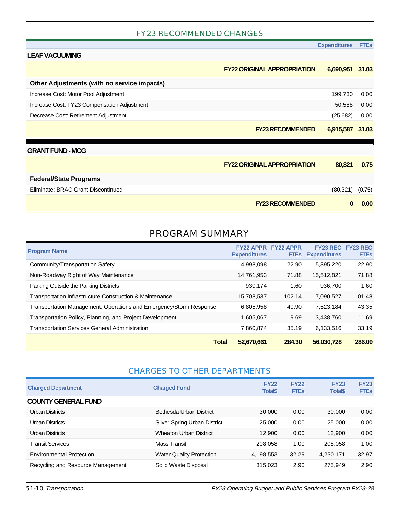#### FY23 RECOMMENDED CHANGES

|                                                    |                                    | <b>Expenditures</b> | <b>FTEs</b> |
|----------------------------------------------------|------------------------------------|---------------------|-------------|
| <b>LEAF VACUUMING</b>                              |                                    |                     |             |
|                                                    | <b>FY22 ORIGINAL APPROPRIATION</b> | 6,690,951 31.03     |             |
| <b>Other Adjustments (with no service impacts)</b> |                                    |                     |             |
| Increase Cost: Motor Pool Adjustment               |                                    | 199,730             | 0.00        |
| Increase Cost: FY23 Compensation Adjustment        |                                    | 50,588              | 0.00        |
| Decrease Cost: Retirement Adjustment               |                                    | (25, 682)           | 0.00        |
|                                                    | <b>FY23 RECOMMENDED</b>            | 6,915,587           | 31.03       |
| <b>GRANT FUND - MCG</b>                            |                                    |                     |             |
|                                                    | <b>FY22 ORIGINAL APPROPRIATION</b> | 80,321              | 0.75        |
| <b>Federal/State Programs</b>                      |                                    |                     |             |
| Eliminate: BRAC Grant Discontinued                 |                                    | (80, 321)           | (0.75)      |
|                                                    | <b>FY23 RECOMMENDED</b>            | n                   | 0.00        |

#### PROGRAM SUMMARY

| <b>Program Name</b>                                                | <b>FY22 APPR</b><br><b>Expenditures</b> | <b>FY22 APPR</b><br><b>FTES</b> | FY23 REC FY23 REC<br><b>Expenditures</b> | <b>FTEs</b> |
|--------------------------------------------------------------------|-----------------------------------------|---------------------------------|------------------------------------------|-------------|
| Community/Transportation Safety                                    | 4,998,098                               | 22.90                           | 5,395,220                                | 22.90       |
| Non-Roadway Right of Way Maintenance                               | 14,761,953                              | 71.88                           | 15,512,821                               | 71.88       |
| Parking Outside the Parking Districts                              | 930.174                                 | 1.60                            | 936,700                                  | 1.60        |
| Transportation Infrastructure Construction & Maintenance           | 15,708,537                              | 102.14                          | 17,090,527                               | 101.48      |
| Transportation Management, Operations and Emergency/Storm Response | 6,805,958                               | 40.90                           | 7,523,184                                | 43.35       |
| Transportation Policy, Planning, and Project Development           | 1,605,067                               | 9.69                            | 3,438,760                                | 11.69       |
| <b>Transportation Services General Administration</b>              | 7,860,874                               | 35.19                           | 6,133,516                                | 33.19       |
| <b>Total</b>                                                       | 52,670,661                              | 284.30                          | 56,030,728                               | 286.09      |

#### CHARGES TO OTHER DEPARTMENTS

| <b>Charged Department</b>         | <b>Charged Fund</b>             | <b>FY22</b><br><b>Total\$</b> | <b>FY22</b><br><b>FTEs</b> | <b>FY23</b><br><b>Total\$</b> | <b>FY23</b><br><b>FTEs</b> |
|-----------------------------------|---------------------------------|-------------------------------|----------------------------|-------------------------------|----------------------------|
| <b>COUNTY GENERAL FUND</b>        |                                 |                               |                            |                               |                            |
| Urban Districts                   | Bethesda Urban District         | 30.000                        | 0.00                       | 30,000                        | 0.00                       |
| Urban Districts                   | Silver Spring Urban District    | 25.000                        | 0.00                       | 25,000                        | 0.00                       |
| Urban Districts                   | <b>Wheaton Urban District</b>   | 12,900                        | 0.00                       | 12.900                        | 0.00                       |
| <b>Transit Services</b>           | <b>Mass Transit</b>             | 208.058                       | 1.00                       | 208,058                       | 1.00                       |
| <b>Environmental Protection</b>   | <b>Water Quality Protection</b> | 4,198,553                     | 32.29                      | 4,230,171                     | 32.97                      |
| Recycling and Resource Management | Solid Waste Disposal            | 315,023                       | 2.90                       | 275.949                       | 2.90                       |

51-10 Transportation FY23 Operating Budget and Public Services Program FY23-28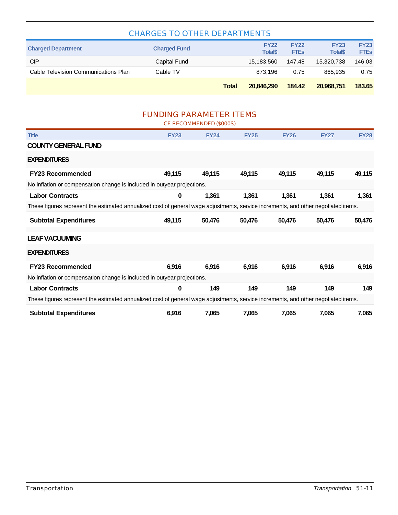| <b>CHARGES TO OTHER DEPARTMENTS</b>                                                                                                |                                |                         |                               |                            |                                |                            |  |
|------------------------------------------------------------------------------------------------------------------------------------|--------------------------------|-------------------------|-------------------------------|----------------------------|--------------------------------|----------------------------|--|
| <b>Charged Department</b>                                                                                                          | <b>Charged Fund</b>            |                         | <b>FY22</b><br><b>Total\$</b> | <b>FY22</b><br><b>FTEs</b> | <b>FY23</b><br><b>Total</b> \$ | <b>FY23</b><br><b>FTEs</b> |  |
| <b>CIP</b>                                                                                                                         | <b>Capital Fund</b>            |                         | 15,183,560                    | 147.48                     | 15,320,738                     | 146.03                     |  |
| Cable Television Communications Plan                                                                                               | Cable TV                       |                         | 873,196                       | 0.75                       | 865,935                        | 0.75                       |  |
|                                                                                                                                    |                                | <b>Total</b>            | 20,846,290                    | 184.42                     | 20,968,751                     | 183.65                     |  |
|                                                                                                                                    | <b>FUNDING PARAMETER ITEMS</b> | CE RECOMMENDED (\$000S) |                               |                            |                                |                            |  |
| <b>Title</b>                                                                                                                       | <b>FY23</b>                    | <b>FY24</b>             | <b>FY25</b>                   | <b>FY26</b>                | <b>FY27</b>                    | <b>FY28</b>                |  |
| <b>COUNTY GENERAL FUND</b>                                                                                                         |                                |                         |                               |                            |                                |                            |  |
| <b>EXPENDITURES</b>                                                                                                                |                                |                         |                               |                            |                                |                            |  |
| <b>FY23 Recommended</b>                                                                                                            | 49,115                         | 49,115                  | 49,115                        | 49,115                     | 49,115                         | 49,115                     |  |
| No inflation or compensation change is included in outyear projections.                                                            |                                |                         |                               |                            |                                |                            |  |
| <b>Labor Contracts</b>                                                                                                             | 0                              | 1,361                   | 1,361                         | 1,361                      | 1,361                          | 1,361                      |  |
| These figures represent the estimated annualized cost of general wage adjustments, service increments, and other negotiated items. |                                |                         |                               |                            |                                |                            |  |
| <b>Subtotal Expenditures</b>                                                                                                       | 49,115                         | 50,476                  | 50,476                        | 50,476                     | 50,476                         | 50,476                     |  |
| <b>LEAF VACUUMING</b>                                                                                                              |                                |                         |                               |                            |                                |                            |  |
| <b>EXPENDITURES</b>                                                                                                                |                                |                         |                               |                            |                                |                            |  |
| <b>FY23 Recommended</b>                                                                                                            | 6,916                          | 6,916                   | 6,916                         | 6,916                      | 6,916                          | 6,916                      |  |
| No inflation or compensation change is included in outyear projections.                                                            |                                |                         |                               |                            |                                |                            |  |
| <b>Labor Contracts</b>                                                                                                             | 0                              | 149                     | 149                           | 149                        | 149                            | 149                        |  |
| These figures represent the estimated annualized cost of general wage adjustments, service increments, and other negotiated items. |                                |                         |                               |                            |                                |                            |  |
| <b>Subtotal Expenditures</b>                                                                                                       | 6,916                          | 7,065                   | 7,065                         | 7,065                      | 7,065                          | 7,065                      |  |